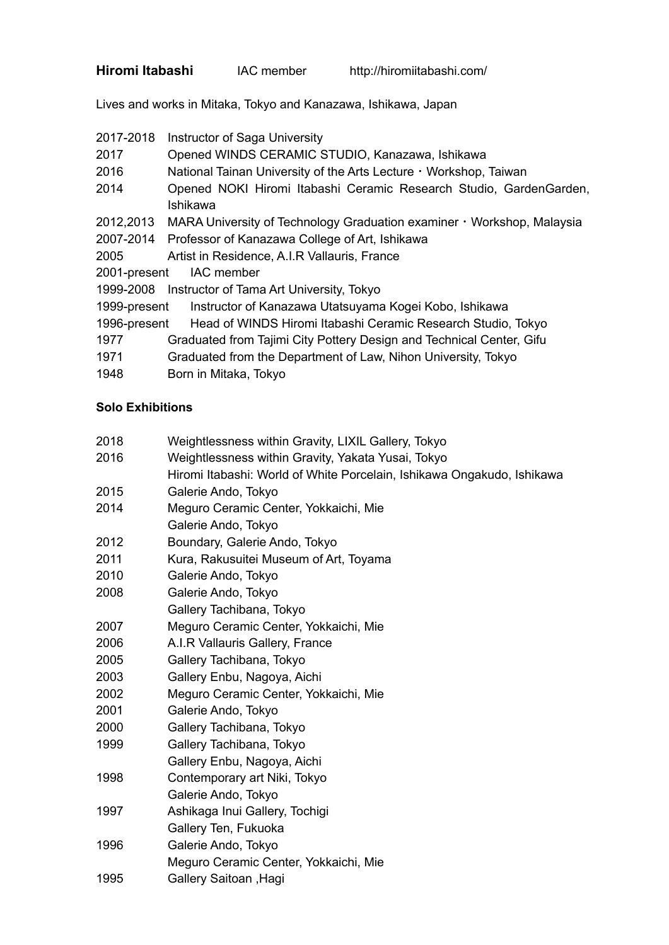| Hiromi Itabashi | IAC member | http://hiromiitabashi.com/ |
|-----------------|------------|----------------------------|
|-----------------|------------|----------------------------|

Lives and works in Mitaka, Tokyo and Kanazawa, Ishikawa, Japan

| 2017-2018 Instructor of Saga University |  |
|-----------------------------------------|--|
|                                         |  |

- 2017 Opened WINDS CERAMIC STUDIO, Kanazawa, Ishikawa
- 2016 National Tainan University of the Arts Lecture · Workshop, Taiwan
- 2014 Opened NOKI Hiromi Itabashi Ceramic Research Studio, GardenGarden, Ishikawa
- 2012,2013 MARA University of Technology Graduation examiner・Workshop, Malaysia
- 2007-2014 Professor of Kanazawa College of Art, Ishikawa
- 2005 Artist in Residence, A.I.R Vallauris, France
- 2001-present IAC member
- 1999-2008 Instructor of Tama Art University, Tokyo
- 1999-present Instructor of Kanazawa Utatsuyama Kogei Kobo, Ishikawa
- 1996-present Head of WINDS Hiromi Itabashi Ceramic Research Studio, Tokyo
- 1977 Graduated from Tajimi City Pottery Design and Technical Center, Gifu
- 1971 Graduated from the Department of Law, Nihon University, Tokyo
- 1948 Born in Mitaka, Tokyo

## **Solo Exhibitions**

| 2018 | Weightlessness within Gravity, LIXIL Gallery, Tokyo                    |
|------|------------------------------------------------------------------------|
| 2016 | Weightlessness within Gravity, Yakata Yusai, Tokyo                     |
|      | Hiromi Itabashi: World of White Porcelain, Ishikawa Ongakudo, Ishikawa |
| 2015 | Galerie Ando, Tokyo                                                    |
| 2014 | Meguro Ceramic Center, Yokkaichi, Mie                                  |
|      | Galerie Ando, Tokyo                                                    |
| 2012 | Boundary, Galerie Ando, Tokyo                                          |
| 2011 | Kura, Rakusuitei Museum of Art, Toyama                                 |
| 2010 | Galerie Ando, Tokyo                                                    |
| 2008 | Galerie Ando, Tokyo                                                    |
|      | Gallery Tachibana, Tokyo                                               |
| 2007 | Meguro Ceramic Center, Yokkaichi, Mie                                  |
| 2006 | A.I.R Vallauris Gallery, France                                        |
| 2005 | Gallery Tachibana, Tokyo                                               |
| 2003 | Gallery Enbu, Nagoya, Aichi                                            |
| 2002 | Meguro Ceramic Center, Yokkaichi, Mie                                  |
| 2001 | Galerie Ando, Tokyo                                                    |
| 2000 | Gallery Tachibana, Tokyo                                               |
| 1999 | Gallery Tachibana, Tokyo                                               |
|      | Gallery Enbu, Nagoya, Aichi                                            |
| 1998 | Contemporary art Niki, Tokyo                                           |
|      | Galerie Ando, Tokyo                                                    |
| 1997 | Ashikaga Inui Gallery, Tochigi                                         |
|      | Gallery Ten, Fukuoka                                                   |
| 1996 | Galerie Ando, Tokyo                                                    |
|      | Meguro Ceramic Center, Yokkaichi, Mie                                  |
| 1995 | <b>Gallery Saitoan, Hagi</b>                                           |
|      |                                                                        |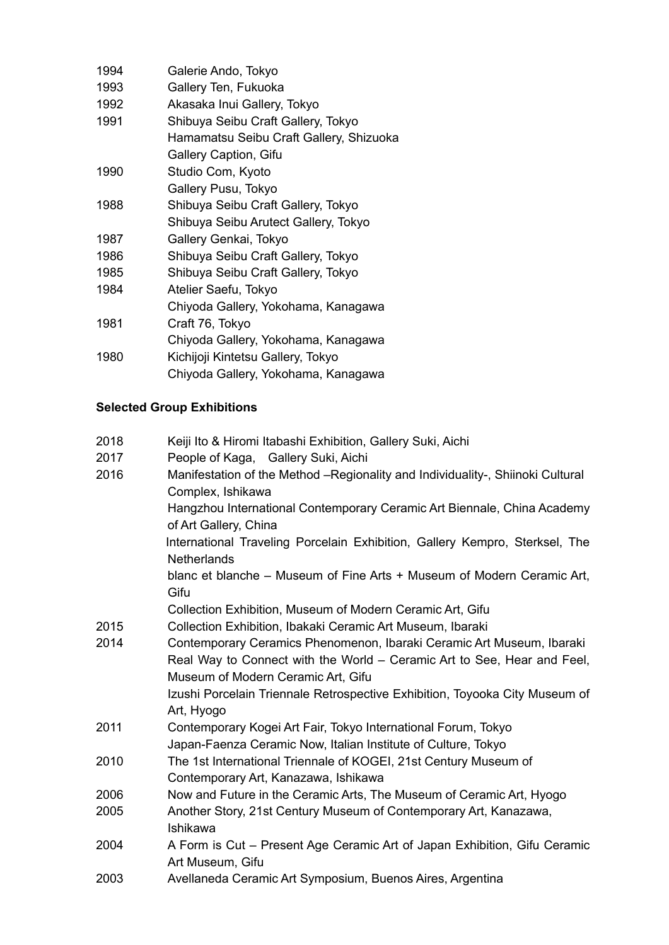| 1994 | Galerie Ando, Tokyo                     |
|------|-----------------------------------------|
| 1993 | Gallery Ten, Fukuoka                    |
| 1992 | Akasaka Inui Gallery, Tokyo             |
| 1991 | Shibuya Seibu Craft Gallery, Tokyo      |
|      | Hamamatsu Seibu Craft Gallery, Shizuoka |
|      | Gallery Caption, Gifu                   |
| 1990 | Studio Com, Kyoto                       |
|      | Gallery Pusu, Tokyo                     |
| 1988 | Shibuya Seibu Craft Gallery, Tokyo      |
|      | Shibuya Seibu Arutect Gallery, Tokyo    |
| 1987 | Gallery Genkai, Tokyo                   |
| 1986 | Shibuya Seibu Craft Gallery, Tokyo      |
| 1985 | Shibuya Seibu Craft Gallery, Tokyo      |
| 1984 | Atelier Saefu, Tokyo                    |
|      | Chiyoda Gallery, Yokohama, Kanagawa     |
| 1981 | Craft 76, Tokyo                         |
|      | Chiyoda Gallery, Yokohama, Kanagawa     |
| 1980 | Kichijoji Kintetsu Gallery, Tokyo       |
|      | Chiyoda Gallery, Yokohama, Kanagawa     |

## **Selected Group Exhibitions**

| 2018 | Keiji Ito & Hiromi Itabashi Exhibition, Gallery Suki, Aichi                                                                                      |
|------|--------------------------------------------------------------------------------------------------------------------------------------------------|
| 2017 | People of Kaga, Gallery Suki, Aichi                                                                                                              |
| 2016 | Manifestation of the Method -Regionality and Individuality-, Shiinoki Cultural<br>Complex, Ishikawa                                              |
|      | Hangzhou International Contemporary Ceramic Art Biennale, China Academy<br>of Art Gallery, China                                                 |
|      | International Traveling Porcelain Exhibition, Gallery Kempro, Sterksel, The<br><b>Netherlands</b>                                                |
|      | blanc et blanche – Museum of Fine Arts + Museum of Modern Ceramic Art,<br>Gifu                                                                   |
|      | Collection Exhibition, Museum of Modern Ceramic Art, Gifu                                                                                        |
| 2015 | Collection Exhibition, Ibakaki Ceramic Art Museum, Ibaraki                                                                                       |
| 2014 | Contemporary Ceramics Phenomenon, Ibaraki Ceramic Art Museum, Ibaraki<br>Real Way to Connect with the World – Ceramic Art to See, Hear and Feel, |
|      | Museum of Modern Ceramic Art, Gifu                                                                                                               |
|      | Izushi Porcelain Triennale Retrospective Exhibition, Toyooka City Museum of<br>Art, Hyogo                                                        |
| 2011 | Contemporary Kogei Art Fair, Tokyo International Forum, Tokyo                                                                                    |
|      | Japan-Faenza Ceramic Now, Italian Institute of Culture, Tokyo                                                                                    |
| 2010 | The 1st International Triennale of KOGEI, 21st Century Museum of                                                                                 |
|      | Contemporary Art, Kanazawa, Ishikawa                                                                                                             |
| 2006 | Now and Future in the Ceramic Arts, The Museum of Ceramic Art, Hyogo                                                                             |
| 2005 | Another Story, 21st Century Museum of Contemporary Art, Kanazawa,<br>Ishikawa                                                                    |
| 2004 | A Form is Cut – Present Age Ceramic Art of Japan Exhibition, Gifu Ceramic<br>Art Museum, Gifu                                                    |
| 2003 | Avellaneda Ceramic Art Symposium, Buenos Aires, Argentina                                                                                        |
|      |                                                                                                                                                  |